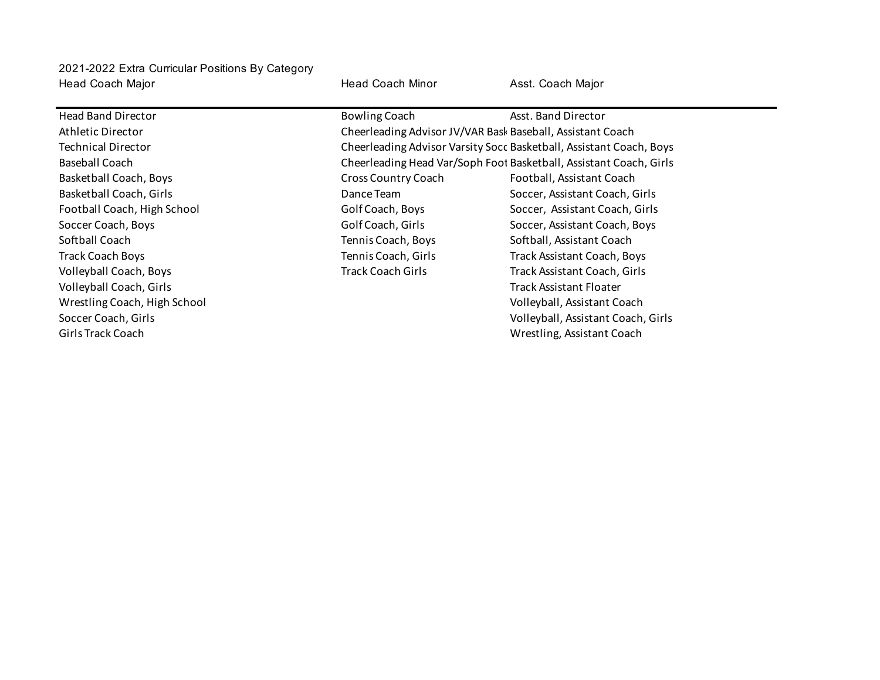Head Coach Major Head Coach Minor Asst. Coach Major 2021-2022 Extra Curricular Positions By Category

Head Band Director **Assemble Asst. Band Director** Bowling Coach **Asst. Band Director** Athletic Director Cheerleading Advisor JV/VAR Bask Baseball, Assistant Coach Technical Director **Cheerleading Advisor Varsity Socc Basketball**, Assistant Coach, Boys Baseball Coach **Cheerleading Head Var/Soph Foot Basketball**, Assistant Coach, Girls Basketball Coach, Boys **Channel Coach Coach** Cross Country Coach **Football, Assistant Coach** Basketball Coach, Girls **Communist Coach, City Coach, Girls Coach**, Girls Dance Team Soccer, Assistant Coach, Girls Football Coach, High School Golf Coach, Boys Soccer, Assistant Coach, Girls Soccer Coach, Boys **Soccer Coach, Boys** Golf Coach, Girls Soccer, Assistant Coach, Boys Softball Coach Tennis Coach, Boys Softball, Assistant Coach Track Coach Boys Tennis Coach, Girls Track Assistant Coach, Boys Volleyball Coach, Boys Track Coach Girls Track Assistant Coach, Girls Volleyball Coach, Girls Track Assistant Floater Wrestling Coach, High School Volleyball, Assistant Coach Soccer Coach, Girls Volleyball, Assistant Coach, Girls Girls Track Coach Wrestling, Assistant Coach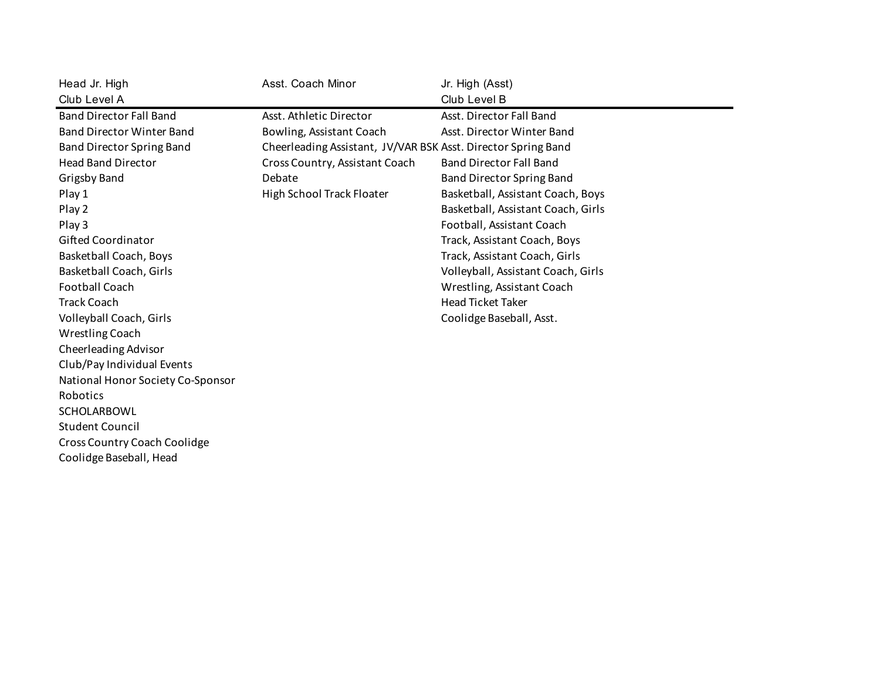| Head Jr. High                     | Asst. Coach Minor                                             | Jr. High (Asst)                    |
|-----------------------------------|---------------------------------------------------------------|------------------------------------|
| Club Level A                      |                                                               | Club Level B                       |
| <b>Band Director Fall Band</b>    | Asst. Athletic Director                                       | Asst. Director Fall Band           |
| <b>Band Director Winter Band</b>  | Bowling, Assistant Coach                                      | Asst. Director Winter Band         |
| Band Director Spring Band         | Cheerleading Assistant, JV/VAR BSK Asst. Director Spring Band |                                    |
| <b>Head Band Director</b>         | Cross Country, Assistant Coach                                | <b>Band Director Fall Band</b>     |
| <b>Grigsby Band</b>               | Debate                                                        | <b>Band Director Spring Band</b>   |
| Play 1                            | High School Track Floater                                     | Basketball, Assistant Coach, Boys  |
| Play 2                            |                                                               | Basketball, Assistant Coach, Girls |
| Play 3                            |                                                               | Football, Assistant Coach          |
| <b>Gifted Coordinator</b>         |                                                               | Track, Assistant Coach, Boys       |
| Basketball Coach, Boys            |                                                               | Track, Assistant Coach, Girls      |
| Basketball Coach, Girls           |                                                               | Volleyball, Assistant Coach, Girls |
| <b>Football Coach</b>             |                                                               | Wrestling, Assistant Coach         |
| <b>Track Coach</b>                |                                                               | <b>Head Ticket Taker</b>           |
| Volleyball Coach, Girls           |                                                               | Coolidge Baseball, Asst.           |
| Wrestling Coach                   |                                                               |                                    |
| Cheerleading Advisor              |                                                               |                                    |
| Club/Pay Individual Events        |                                                               |                                    |
| National Honor Society Co-Sponsor |                                                               |                                    |
| Robotics                          |                                                               |                                    |
| <b>SCHOLARBOWL</b>                |                                                               |                                    |
| <b>Student Council</b>            |                                                               |                                    |
| Cross Country Coach Coolidge      |                                                               |                                    |
| Coolidge Baseball, Head           |                                                               |                                    |